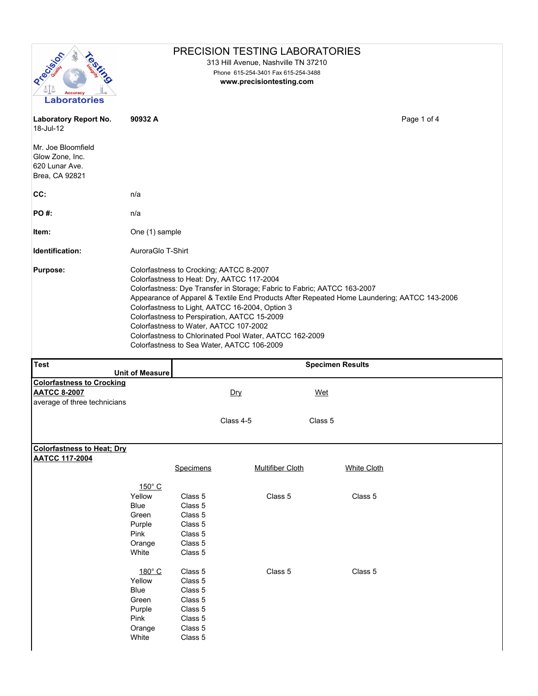| Recision                                                                  |                                            |                                                                                   | PRECISION TESTING LABORATORIES<br>313 Hill Avenue, Nashville TN 37210                                                                                                                                                                                                                                                              |         |                                                                                             |  |  |  |
|---------------------------------------------------------------------------|--------------------------------------------|-----------------------------------------------------------------------------------|------------------------------------------------------------------------------------------------------------------------------------------------------------------------------------------------------------------------------------------------------------------------------------------------------------------------------------|---------|---------------------------------------------------------------------------------------------|--|--|--|
| Accuracy<br><b>Laboratories</b>                                           |                                            |                                                                                   | Phone 615-254-3401 Fax 615-254-3488<br>www.precisiontesting.com                                                                                                                                                                                                                                                                    |         |                                                                                             |  |  |  |
| <b>Laboratory Report No.</b><br>18-Jul-12                                 | 90932 A                                    |                                                                                   |                                                                                                                                                                                                                                                                                                                                    |         | Page 1 of 4                                                                                 |  |  |  |
| Mr. Joe Bloomfield<br>Glow Zone, Inc.<br>620 Lunar Ave.<br>Brea, CA 92821 |                                            |                                                                                   |                                                                                                                                                                                                                                                                                                                                    |         |                                                                                             |  |  |  |
| CC:                                                                       | n/a                                        |                                                                                   |                                                                                                                                                                                                                                                                                                                                    |         |                                                                                             |  |  |  |
| <b>PO#:</b>                                                               | n/a                                        |                                                                                   |                                                                                                                                                                                                                                                                                                                                    |         |                                                                                             |  |  |  |
| ltem:                                                                     | One (1) sample                             |                                                                                   |                                                                                                                                                                                                                                                                                                                                    |         |                                                                                             |  |  |  |
| Identification:                                                           | AuroraGlo T-Shirt                          |                                                                                   |                                                                                                                                                                                                                                                                                                                                    |         |                                                                                             |  |  |  |
| <b>Purpose:</b>                                                           |                                            | Colorfastness to Crocking; AATCC 8-2007<br>Colorfastness to Water, AATCC 107-2002 | Colorfastness to Heat: Dry, AATCC 117-2004<br>Colorfastness: Dye Transfer in Storage; Fabric to Fabric; AATCC 163-2007<br>Colorfastness to Light, AATCC 16-2004, Option 3<br>Colorfastness to Perspiration, AATCC 15-2009<br>Colorfastness to Chlorinated Pool Water, AATCC 162-2009<br>Colorfastness to Sea Water, AATCC 106-2009 |         | Appearance of Apparel & Textile End Products After Repeated Home Laundering; AATCC 143-2006 |  |  |  |
| <b>Test</b>                                                               | <b>Unit of Measure</b>                     | <b>Specimen Results</b>                                                           |                                                                                                                                                                                                                                                                                                                                    |         |                                                                                             |  |  |  |
| <b>Colorfastness to Crocking</b>                                          |                                            |                                                                                   |                                                                                                                                                                                                                                                                                                                                    |         |                                                                                             |  |  |  |
| <b>AATCC 8-2007</b><br>average of three technicians                       |                                            |                                                                                   | Dry                                                                                                                                                                                                                                                                                                                                | Wet     |                                                                                             |  |  |  |
|                                                                           |                                            |                                                                                   | Class 4-5                                                                                                                                                                                                                                                                                                                          | Class 5 |                                                                                             |  |  |  |
| <b>Colorfastness to Heat; Dry</b>                                         |                                            |                                                                                   |                                                                                                                                                                                                                                                                                                                                    |         |                                                                                             |  |  |  |
| <b>AATCC 117-2004</b>                                                     |                                            | Specimens                                                                         | <b>Multifiber Cloth</b>                                                                                                                                                                                                                                                                                                            |         | <b>White Cloth</b>                                                                          |  |  |  |
|                                                                           | $150^{\circ}$ C<br>Yellow<br>Blue<br>Green | Class 5<br>Class 5<br>Class 5<br>Class 5                                          | Class 5                                                                                                                                                                                                                                                                                                                            |         | Class 5                                                                                     |  |  |  |
|                                                                           | Purple<br>Pink<br>Orange<br>White          | Class 5<br>Class 5<br>Class 5                                                     |                                                                                                                                                                                                                                                                                                                                    |         |                                                                                             |  |  |  |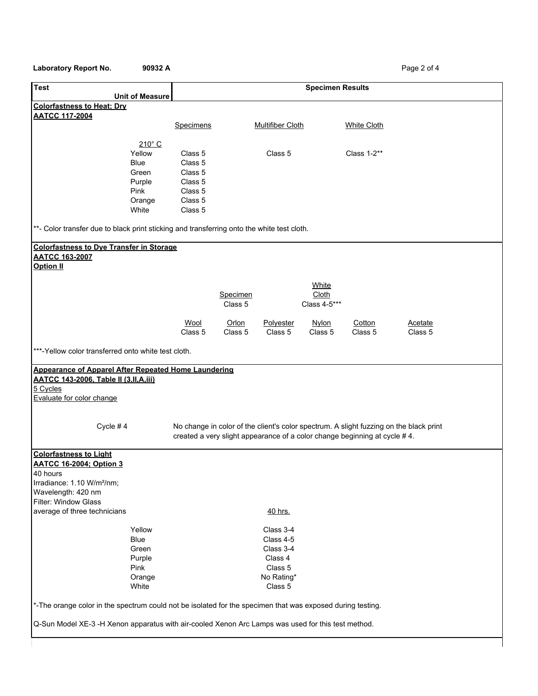## Laboratory Report No. 90932 A **Page 2 of 4**

| <b>Unit of Measure</b>                                                                                     | <b>Specimen Results</b> |                                                                                        |                       |                    |         |  |  |
|------------------------------------------------------------------------------------------------------------|-------------------------|----------------------------------------------------------------------------------------|-----------------------|--------------------|---------|--|--|
| <b>Colorfastness to Heat: Dry</b>                                                                          |                         |                                                                                        |                       |                    |         |  |  |
| <b>AATCC 117-2004</b>                                                                                      |                         |                                                                                        |                       |                    |         |  |  |
|                                                                                                            | Specimens               | <b>Multifiber Cloth</b>                                                                |                       | <b>White Cloth</b> |         |  |  |
|                                                                                                            |                         |                                                                                        |                       |                    |         |  |  |
| $210^\circ$ C                                                                                              |                         |                                                                                        |                       |                    |         |  |  |
| Yellow                                                                                                     | Class 5                 | Class 5                                                                                |                       | Class 1-2**        |         |  |  |
| <b>Blue</b>                                                                                                | Class 5                 |                                                                                        |                       |                    |         |  |  |
| Green                                                                                                      | Class 5                 |                                                                                        |                       |                    |         |  |  |
| Purple                                                                                                     | Class 5                 |                                                                                        |                       |                    |         |  |  |
| Pink                                                                                                       | Class 5                 |                                                                                        |                       |                    |         |  |  |
| Orange<br>White                                                                                            | Class 5<br>Class 5      |                                                                                        |                       |                    |         |  |  |
|                                                                                                            |                         |                                                                                        |                       |                    |         |  |  |
| **- Color transfer due to black print sticking and transferring onto the white test cloth.                 |                         |                                                                                        |                       |                    |         |  |  |
| <b>Colorfastness to Dye Transfer in Storage</b>                                                            |                         |                                                                                        |                       |                    |         |  |  |
| <b>AATCC 163-2007</b>                                                                                      |                         |                                                                                        |                       |                    |         |  |  |
| <b>Option II</b>                                                                                           |                         |                                                                                        |                       |                    |         |  |  |
|                                                                                                            |                         |                                                                                        |                       |                    |         |  |  |
|                                                                                                            |                         |                                                                                        | <b>White</b>          |                    |         |  |  |
|                                                                                                            |                         | Specimen<br>Class 5                                                                    | Cloth<br>Class 4-5*** |                    |         |  |  |
|                                                                                                            |                         |                                                                                        |                       |                    |         |  |  |
|                                                                                                            | Wool                    | Orlon<br>Polyester                                                                     | <b>Nylon</b>          | Cotton             | Acetate |  |  |
|                                                                                                            | Class 5                 | Class 5<br>Class 5                                                                     | Class 5               | Class 5            | Class 5 |  |  |
| ***-Yellow color transferred onto white test cloth.                                                        |                         |                                                                                        |                       |                    |         |  |  |
|                                                                                                            |                         |                                                                                        |                       |                    |         |  |  |
| Appearance of Apparel After Repeated Home Laundering                                                       |                         |                                                                                        |                       |                    |         |  |  |
| <b>AATCC 143-2006, Table II (3, II, A, iii)</b>                                                            |                         |                                                                                        |                       |                    |         |  |  |
|                                                                                                            |                         |                                                                                        |                       |                    |         |  |  |
| 5 Cycles                                                                                                   |                         |                                                                                        |                       |                    |         |  |  |
| Evaluate for color change                                                                                  |                         |                                                                                        |                       |                    |         |  |  |
|                                                                                                            |                         |                                                                                        |                       |                    |         |  |  |
|                                                                                                            |                         |                                                                                        |                       |                    |         |  |  |
| Cycle # $4$                                                                                                |                         | No change in color of the client's color spectrum. A slight fuzzing on the black print |                       |                    |         |  |  |
|                                                                                                            |                         | created a very slight appearance of a color change beginning at cycle #4.              |                       |                    |         |  |  |
| <b>Colorfastness to Light</b>                                                                              |                         |                                                                                        |                       |                    |         |  |  |
| <b>AATCC 16-2004; Option 3</b>                                                                             |                         |                                                                                        |                       |                    |         |  |  |
| 40 hours                                                                                                   |                         |                                                                                        |                       |                    |         |  |  |
| Irradiance: 1.10 W/m <sup>2</sup> /nm;                                                                     |                         |                                                                                        |                       |                    |         |  |  |
| Wavelength: 420 nm                                                                                         |                         |                                                                                        |                       |                    |         |  |  |
| Filter: Window Glass                                                                                       |                         |                                                                                        |                       |                    |         |  |  |
| average of three technicians                                                                               |                         | 40 hrs.                                                                                |                       |                    |         |  |  |
|                                                                                                            |                         |                                                                                        |                       |                    |         |  |  |
| Yellow                                                                                                     |                         | Class 3-4                                                                              |                       |                    |         |  |  |
| <b>Blue</b>                                                                                                |                         | Class 4-5                                                                              |                       |                    |         |  |  |
| Green                                                                                                      |                         | Class 3-4                                                                              |                       |                    |         |  |  |
| Purple<br>Pink                                                                                             |                         | Class 4<br>Class 5                                                                     |                       |                    |         |  |  |
|                                                                                                            |                         |                                                                                        |                       |                    |         |  |  |
| Orange<br>White                                                                                            |                         | No Rating*<br>Class 5                                                                  |                       |                    |         |  |  |
| *-The orange color in the spectrum could not be isolated for the specimen that was exposed during testing. |                         |                                                                                        |                       |                    |         |  |  |
|                                                                                                            |                         |                                                                                        |                       |                    |         |  |  |
| Q-Sun Model XE-3 -H Xenon apparatus with air-cooled Xenon Arc Lamps was used for this test method.         |                         |                                                                                        |                       |                    |         |  |  |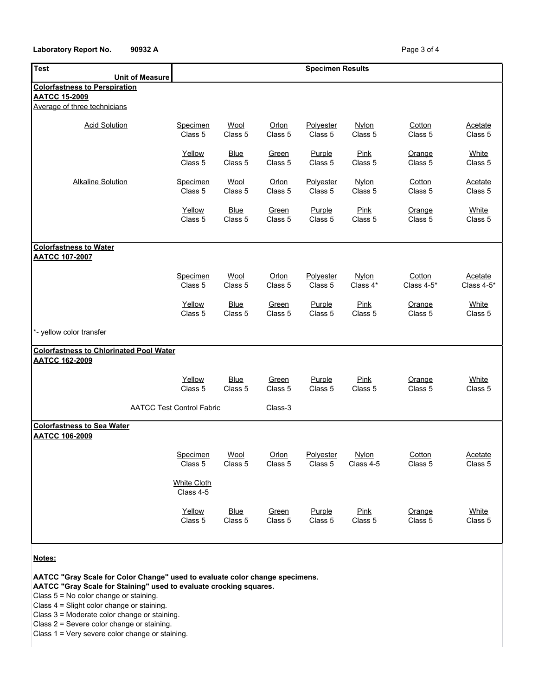## Laboratory Report No. 90932 A **Page 3 of 4** Page 3 of 4

| <b>Test</b>                                                | <b>Specimen Results</b>          |                        |                  |                      |                           |                      |                                 |
|------------------------------------------------------------|----------------------------------|------------------------|------------------|----------------------|---------------------------|----------------------|---------------------------------|
| <b>Unit of Measure</b>                                     |                                  |                        |                  |                      |                           |                      |                                 |
| <b>Colorfastness to Perspiration</b>                       |                                  |                        |                  |                      |                           |                      |                                 |
| <b>AATCC 15-2009</b>                                       |                                  |                        |                  |                      |                           |                      |                                 |
| Average of three technicians                               |                                  |                        |                  |                      |                           |                      |                                 |
| <b>Acid Solution</b>                                       | <b>Specimen</b><br>Class 5       | Wool<br>Class 5        | Orlon<br>Class 5 | Polyester<br>Class 5 | <b>Nylon</b><br>Class 5   | Cotton<br>Class 5    | Acetate<br>Class 5              |
|                                                            | Yellow<br>Class 5                | <b>Blue</b><br>Class 5 | Green<br>Class 5 | Purple<br>Class 5    | <b>Pink</b><br>Class 5    | Orange<br>Class 5    | <b>White</b><br>Class 5         |
| <b>Alkaline Solution</b>                                   | <b>Specimen</b><br>Class 5       | Wool<br>Class 5        | Orlon<br>Class 5 | Polyester<br>Class 5 | Nylon<br>Class 5          | Cotton<br>Class 5    | <b>Acetate</b><br>Class 5       |
|                                                            | Yellow<br>Class 5                | <b>Blue</b><br>Class 5 | Green<br>Class 5 | Purple<br>Class 5    | <b>Pink</b><br>Class 5    | Orange<br>Class 5    | White<br>Class 5                |
| <b>Colorfastness to Water</b><br><b>AATCC 107-2007</b>     |                                  |                        |                  |                      |                           |                      |                                 |
|                                                            | Specimen<br>Class 5              | Wool<br>Class 5        | Orlon<br>Class 5 | Polyester<br>Class 5 | Nylon<br>Class 4*         | Cotton<br>Class 4-5* | <b>Acetate</b><br>Class $4-5$ * |
|                                                            | Yellow<br>Class 5                | <b>Blue</b><br>Class 5 | Green<br>Class 5 | Purple<br>Class 5    | Pink<br>Class 5           | Orange<br>Class 5    | White<br>Class 5                |
| *- yellow color transfer                                   |                                  |                        |                  |                      |                           |                      |                                 |
| <b>Colorfastness to Chlorinated Pool Water</b>             |                                  |                        |                  |                      |                           |                      |                                 |
| <b>AATCC 162-2009</b>                                      |                                  |                        |                  |                      |                           |                      |                                 |
|                                                            | Yellow<br>Class 5                | <b>Blue</b><br>Class 5 | Green<br>Class 5 | Purple<br>Class 5    | Pink<br>Class 5           | Orange<br>Class 5    | White<br>Class 5                |
|                                                            | <b>AATCC Test Control Fabric</b> |                        |                  |                      |                           |                      |                                 |
| <b>Colorfastness to Sea Water</b><br><b>AATCC 106-2009</b> |                                  |                        |                  |                      |                           |                      |                                 |
|                                                            | Specimen<br>Class 5              | Wool<br>Class 5        | Orlon<br>Class 5 | Polyester<br>Class 5 | <b>Nylon</b><br>Class 4-5 | Cotton<br>Class 5    | <b>Acetate</b><br>Class 5       |
|                                                            | <b>White Cloth</b><br>Class 4-5  |                        |                  |                      |                           |                      |                                 |
|                                                            | Yellow<br>Class 5                | <b>Blue</b><br>Class 5 | Green<br>Class 5 | Purple<br>Class 5    | Pink<br>Class 5           | Orange<br>Class 5    | White<br>Class 5                |
|                                                            |                                  |                        |                  |                      |                           |                      |                                 |

**Notes:**

**AATCC "Gray Scale for Color Change" used to evaluate color change specimens.**

**AATCC "Gray Scale for Staining" used to evaluate crocking squares.**

Class 5 = No color change or staining.

Class 4 = Slight color change or staining.

Class 3 = Moderate color change or staining.

Class 2 = Severe color change or staining.

Class 1 = Very severe color change or staining.